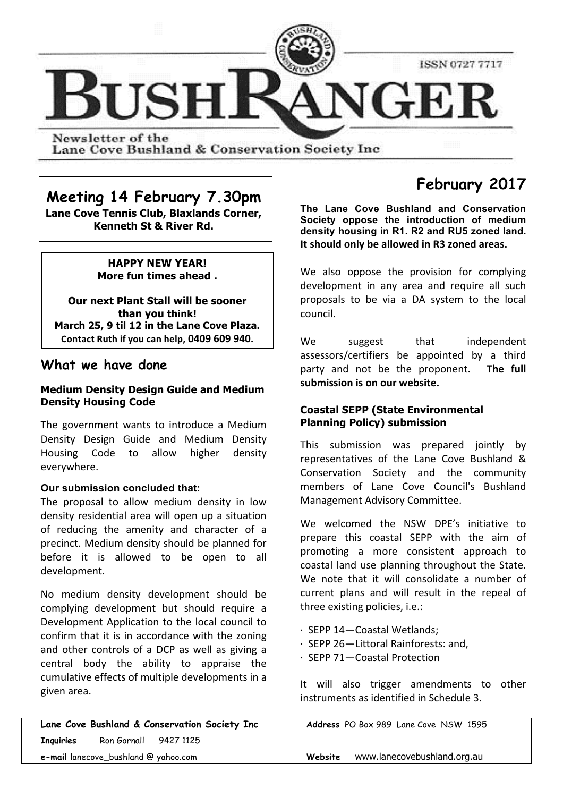

Newsletter of the Lane Cove Bushland & Conservation Society Inc

## **Meeting 14 February 7.30pm**

**Lane Cove Tennis Club, Blaxlands Corner, Kenneth St & River Rd.**

#### **HAPPY NEW YEAR! More fun times ahead .**

**Our next Plant Stall will be sooner than you think! March 25, 9 til 12 in the Lane Cove Plaza.** Contact Ruth if you can help, 0409 609 940.

## **What we have done**

#### **Medium Density Design Guide and Medium Density Housing Code**

The government wants to introduce a Medium Density Design Guide and Medium Density Housing Code to allow higher density everywhere. 

#### **Our submission concluded that:**

The proposal to allow medium density in low density residential area will open up a situation of reducing the amenity and character of a precinct. Medium density should be planned for before it is allowed to be open to all development.

No medium density development should be complying development but should require a Development Application to the local council to confirm that it is in accordance with the zoning and other controls of a DCP as well as giving a central body the ability to appraise the cumulative effects of multiple developments in a given area.

**Lane Cove Bushland & Conservation Society Inc Address** PO Box 989 Lane Cove NSW 1595 **Inquiries** Ron Gornall 9427 1125 **e-mail** lanecove\_bushland @ yahoo.com **Website** www.lanecovebushland.org.au

# **February 2017**

**The Lane Cove Bushland and Conservation Society oppose the introduction of medium density housing in R1. R2 and RU5 zoned land.** It should only be allowed in R3 zoned areas.

We also oppose the provision for complying development in any area and require all such proposals to be via a DA system to the local council.

We suggest that independent assessors/certifiers be appointed by a third party and not be the proponent. **The full** submission is on our website.

#### **Coastal SEPP (State Environmental Planning Policy) submission**

This submission was prepared jointly by representatives of the Lane Cove Bushland & Conservation Society and the community members of Lane Cove Council's Bushland Management Advisory Committee.

We welcomed the NSW DPE's initiative to prepare this coastal SEPP with the aim of promoting a more consistent approach to coastal land use planning throughout the State. We note that it will consolidate a number of current plans and will result in the repeal of three existing policies, i.e.:

- · SEPP 14—Coastal Wetlands;
- · SEPP 26—Littoral Rainforests: and,
- · SEPP 71—Coastal Protection

It will also trigger amendments to other instruments as identified in Schedule 3.